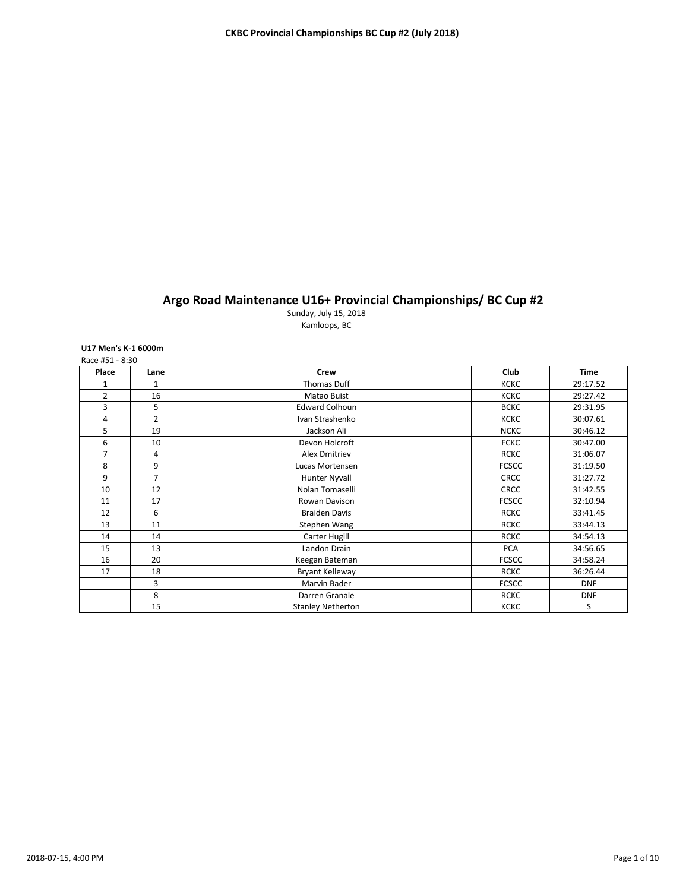# **Argo Road Maintenance U16+ Provincial Championships/ BC Cup #2**

Sunday, July 15, 2018 Kamloops, BC

# **U17 Men's K-1 6000m**

| Place          | Lane           | <b>Crew</b>              | Club         | <b>Time</b> |
|----------------|----------------|--------------------------|--------------|-------------|
| 1              | 1              | <b>Thomas Duff</b>       | <b>KCKC</b>  | 29:17.52    |
| $\overline{2}$ | 16             | Matao Buist              | <b>KCKC</b>  | 29:27.42    |
| 3              | 5              | <b>Edward Colhoun</b>    | <b>BCKC</b>  | 29:31.95    |
| 4              | $\overline{2}$ | Ivan Strashenko          | <b>KCKC</b>  | 30:07.61    |
| 5              | 19             | Jackson Ali              | <b>NCKC</b>  | 30:46.12    |
| 6              | 10             | Devon Holcroft           | <b>FCKC</b>  | 30:47.00    |
| $\overline{7}$ | $\overline{4}$ | <b>Alex Dmitriev</b>     | <b>RCKC</b>  | 31:06.07    |
| 8              | 9              | Lucas Mortensen          | <b>FCSCC</b> | 31:19.50    |
| 9              | $\overline{7}$ | Hunter Nyvall            | <b>CRCC</b>  | 31:27.72    |
| 10             | 12             | Nolan Tomaselli          | <b>CRCC</b>  | 31:42.55    |
| 11             | 17             | Rowan Davison            | <b>FCSCC</b> | 32:10.94    |
| 12             | 6              | <b>Braiden Davis</b>     | <b>RCKC</b>  | 33:41.45    |
| 13             | 11             | Stephen Wang             | <b>RCKC</b>  | 33:44.13    |
| 14             | 14             | Carter Hugill            | <b>RCKC</b>  | 34:54.13    |
| 15             | 13             | Landon Drain             | <b>PCA</b>   | 34:56.65    |
| 16             | 20             | Keegan Bateman           | <b>FCSCC</b> | 34:58.24    |
| 17             | 18             | <b>Bryant Kelleway</b>   | <b>RCKC</b>  | 36:26.44    |
|                | 3              | Marvin Bader             | <b>FCSCC</b> | <b>DNF</b>  |
|                | 8              | Darren Granale           | <b>RCKC</b>  | <b>DNF</b>  |
|                | 15             | <b>Stanley Netherton</b> | <b>KCKC</b>  | S           |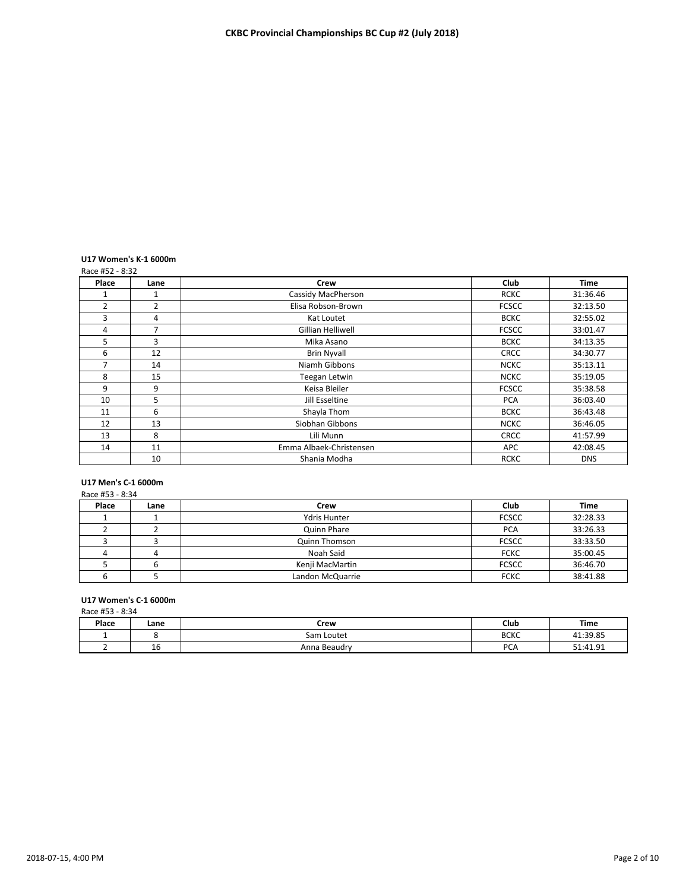# **U17 Women's K-1 6000m**

|       | Race #52 - 8:32 |                         |              |             |  |  |
|-------|-----------------|-------------------------|--------------|-------------|--|--|
| Place | Lane            | <b>Crew</b>             | Club         | <b>Time</b> |  |  |
|       | 1               | Cassidy MacPherson      | <b>RCKC</b>  | 31:36.46    |  |  |
| 2     | $\overline{2}$  | Elisa Robson-Brown      | <b>FCSCC</b> | 32:13.50    |  |  |
| 3     | 4               | Kat Loutet              | <b>BCKC</b>  | 32:55.02    |  |  |
| 4     | $\overline{7}$  | Gillian Helliwell       | <b>FCSCC</b> | 33:01.47    |  |  |
| 5     | 3               | Mika Asano              | <b>BCKC</b>  | 34:13.35    |  |  |
| 6     | 12              | <b>Brin Nyvall</b>      | <b>CRCC</b>  | 34:30.77    |  |  |
| 7     | 14              | Niamh Gibbons           | <b>NCKC</b>  | 35:13.11    |  |  |
| 8     | 15              | Teegan Letwin           | <b>NCKC</b>  | 35:19.05    |  |  |
| 9     | 9               | Keisa Bleiler           | <b>FCSCC</b> | 35:38.58    |  |  |
| 10    | 5               | Jill Esseltine          | <b>PCA</b>   | 36:03.40    |  |  |
| 11    | 6               | Shayla Thom             | <b>BCKC</b>  | 36:43.48    |  |  |
| 12    | 13              | Siobhan Gibbons         | <b>NCKC</b>  | 36:46.05    |  |  |
| 13    | 8               | Lili Munn               | <b>CRCC</b>  | 41:57.99    |  |  |
| 14    | 11              | Emma Albaek-Christensen | <b>APC</b>   | 42:08.45    |  |  |
|       | 10              | Shania Modha            | <b>RCKC</b>  | <b>DNS</b>  |  |  |

# **U17 Men's C-1 6000m**

| Race #53 - 8:34 |      |                      |              |          |  |
|-----------------|------|----------------------|--------------|----------|--|
| Place           | Lane | Crew                 | Club         | Time     |  |
|                 |      | <b>Ydris Hunter</b>  | <b>FCSCC</b> | 32:28.33 |  |
|                 |      | Quinn Phare          | <b>PCA</b>   | 33:26.33 |  |
|                 |      | <b>Quinn Thomson</b> | <b>FCSCC</b> | 33:33.50 |  |
|                 | 4    | Noah Said            | <b>FCKC</b>  | 35:00.45 |  |
|                 |      | Kenji MacMartin      | <b>FCSCC</b> | 36:46.70 |  |
|                 |      | Landon McQuarrie     | <b>FCKC</b>  | 38:41.88 |  |

# **U17 Women's C-1 6000m**

Race #53 - 8:34

| Place | Lane      | Crew         | Club        | Time                |
|-------|-----------|--------------|-------------|---------------------|
|       |           | Sam Loutet   | <b>BCKC</b> | 41.39.85            |
|       | . .<br>TP | Anna Beaudry | DC<br>◡     | $-1.41$ 91<br>+1.J1 |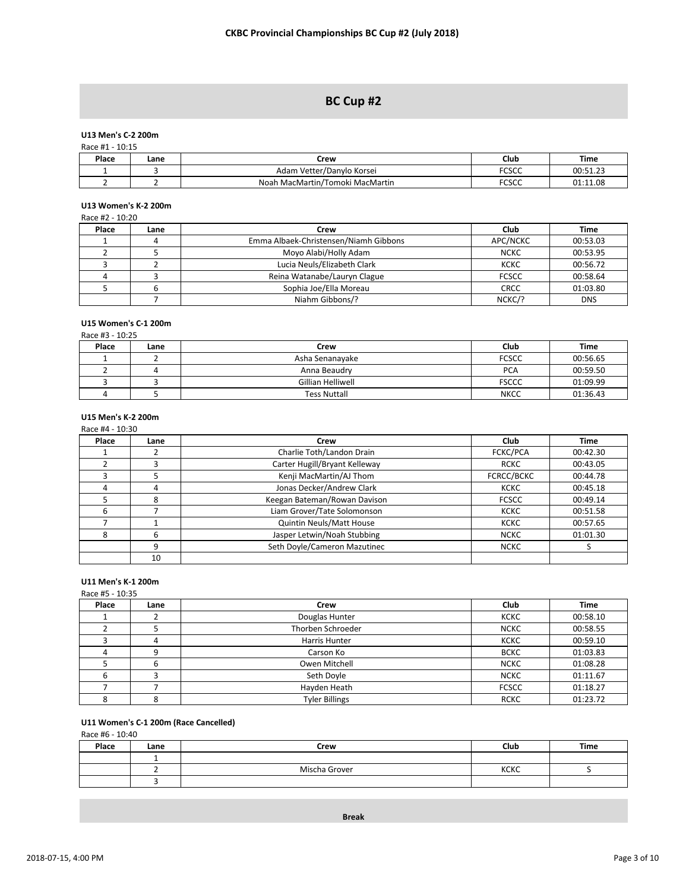# **BC Cup #2**

# **U13 Men's C-2 200m**

| Race #1 - 10:15 |      |                                 |              |          |  |  |  |
|-----------------|------|---------------------------------|--------------|----------|--|--|--|
| Place           | Lane | Crew                            | Club         | Time     |  |  |  |
|                 |      | Adam Vetter/Danylo Korsei       | <b>FCSCC</b> | 00:51.23 |  |  |  |
|                 |      | Noah MacMartin/Tomoki MacMartin | <b>FCSCC</b> | 01:11.08 |  |  |  |

# **U13 Women's K-2 200m**

|       | Race #2 - 10:20 |                                       |              |            |  |  |
|-------|-----------------|---------------------------------------|--------------|------------|--|--|
| Place | Lane            | Crew                                  | Club         | Time       |  |  |
|       | 4               | Emma Albaek-Christensen/Niamh Gibbons | APC/NCKC     | 00:53.03   |  |  |
|       |                 | Moyo Alabi/Holly Adam                 | <b>NCKC</b>  | 00:53.95   |  |  |
|       |                 | Lucia Neuls/Elizabeth Clark           | <b>KCKC</b>  | 00:56.72   |  |  |
|       |                 | Reina Watanabe/Lauryn Clague          | <b>FCSCC</b> | 00:58.64   |  |  |
|       | b               | Sophia Joe/Ella Moreau                | <b>CRCC</b>  | 01:03.80   |  |  |
|       |                 | Niahm Gibbons/?                       | NCKC/?       | <b>DNS</b> |  |  |

# **U15 Women's C-1 200m**

Race #3 - 10:25

| Place | Lane | Crew                | Club         | Time     |  |
|-------|------|---------------------|--------------|----------|--|
|       |      | Asha Senanayake     | <b>FCSCC</b> | 00:56.65 |  |
|       |      | Anna Beaudry        | <b>PCA</b>   | 00:59.50 |  |
|       |      | Gillian Helliwell   | <b>FSCCC</b> | 01:09.99 |  |
|       |      | <b>Tess Nuttall</b> | <b>NKCC</b>  | 01:36.43 |  |

# **U15 Men's K-2 200m**

|       | Race #4 - 10:30 |                               |                 |          |  |  |
|-------|-----------------|-------------------------------|-----------------|----------|--|--|
| Place | Lane            | Crew                          | Club            | Time     |  |  |
|       |                 | Charlie Toth/Landon Drain     | <b>FCKC/PCA</b> | 00:42.30 |  |  |
|       | ς               | Carter Hugill/Bryant Kelleway | <b>RCKC</b>     | 00:43.05 |  |  |
|       |                 | Kenji MacMartin/AJ Thom       | FCRCC/BCKC      | 00:44.78 |  |  |
|       | 4               | Jonas Decker/Andrew Clark     | <b>KCKC</b>     | 00:45.18 |  |  |
|       | 8               | Keegan Bateman/Rowan Davison  | <b>FCSCC</b>    | 00:49.14 |  |  |
| 6     |                 | Liam Grover/Tate Solomonson   | <b>KCKC</b>     | 00:51.58 |  |  |
|       |                 | Quintin Neuls/Matt House      | <b>KCKC</b>     | 00:57.65 |  |  |
|       | 6               | Jasper Letwin/Noah Stubbing   | <b>NCKC</b>     | 01:01.30 |  |  |
|       | 9               | Seth Doyle/Cameron Mazutinec  | <b>NCKC</b>     |          |  |  |
|       | 10              |                               |                 |          |  |  |

## **U11 Men's K-1 200m**

## Race #5 - 10:35

| Place | Lane | Crew                  | Club         | <b>Time</b> |
|-------|------|-----------------------|--------------|-------------|
|       |      | Douglas Hunter        | <b>KCKC</b>  | 00:58.10    |
|       |      | Thorben Schroeder     | <b>NCKC</b>  | 00:58.55    |
|       | 4    | Harris Hunter         | <b>KCKC</b>  | 00:59.10    |
|       |      | Carson Ko             | <b>BCKC</b>  | 01:03.83    |
|       |      | Owen Mitchell         | <b>NCKC</b>  | 01:08.28    |
|       |      | Seth Doyle            | <b>NCKC</b>  | 01:11.67    |
|       |      | Hayden Heath          | <b>FCSCC</b> | 01:18.27    |
|       |      | <b>Tyler Billings</b> | <b>RCKC</b>  | 01:23.72    |

# **U11 Women's C-1 200m (Race Cancelled)**

Race #6 - 10:40

| Place | Lane | Crew          | Club        | Time |
|-------|------|---------------|-------------|------|
|       |      |               |             |      |
|       |      | Mischa Grover | <b>KCKC</b> |      |
|       |      |               |             |      |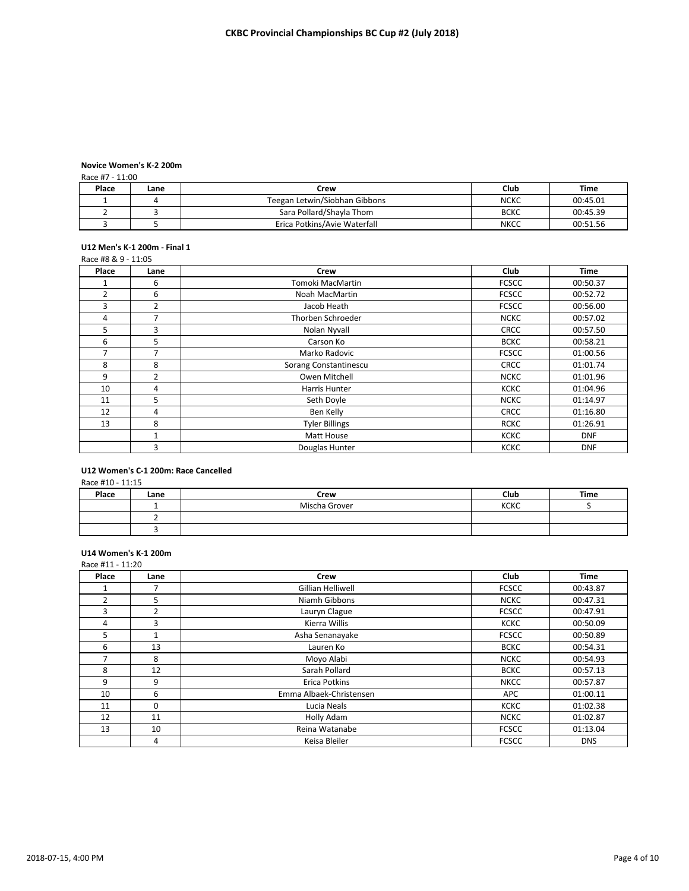#### **Novice Women's K-2 200m**<br>**Base #7 - 11:00**  $\approx$  #7 - 11:00

| Race #7 - 11:00 |      |                               |             |          |  |  |
|-----------------|------|-------------------------------|-------------|----------|--|--|
| Place           | Lane | Crew                          | Club        | Time     |  |  |
|                 |      | Teegan Letwin/Siobhan Gibbons | <b>NCKC</b> | 00:45.01 |  |  |
|                 |      | Sara Pollard/Shayla Thom      | <b>BCKC</b> | 00:45.39 |  |  |
|                 |      | Erica Potkins/Avie Waterfall  | <b>NKCC</b> | 00:51.56 |  |  |

# **U12 Men's K-1 200m - Final 1**

#### Race #8 & 9 - 11:05

| Place          | Lane           | <b>Crew</b>           | Club         | <b>Time</b> |
|----------------|----------------|-----------------------|--------------|-------------|
|                | 6              | Tomoki MacMartin      | <b>FCSCC</b> | 00:50.37    |
| $\overline{2}$ | 6              | Noah MacMartin        | <b>FCSCC</b> | 00:52.72    |
| 3              | $\overline{2}$ | Jacob Heath           | <b>FCSCC</b> | 00:56.00    |
| 4              | 7              | Thorben Schroeder     | <b>NCKC</b>  | 00:57.02    |
| 5              | 3              | Nolan Nyvall          | <b>CRCC</b>  | 00:57.50    |
| 6              | 5              | Carson Ko             | <b>BCKC</b>  | 00:58.21    |
| $\overline{ }$ | 7              | Marko Radovic         | <b>FCSCC</b> | 01:00.56    |
| 8              | 8              | Sorang Constantinescu | <b>CRCC</b>  | 01:01.74    |
| 9              | 2              | Owen Mitchell         | <b>NCKC</b>  | 01:01.96    |
| 10             | 4              | Harris Hunter         | <b>KCKC</b>  | 01:04.96    |
| 11             | 5              | Seth Doyle            | <b>NCKC</b>  | 01:14.97    |
| 12             | 4              | Ben Kelly             | <b>CRCC</b>  | 01:16.80    |
| 13             | 8              | <b>Tyler Billings</b> | <b>RCKC</b>  | 01:26.91    |
|                | 1              | Matt House            | KCKC         | <b>DNF</b>  |
|                | 3              | Douglas Hunter        | <b>KCKC</b>  | <b>DNF</b>  |

#### **U12 Women's C-1 200m: Race Cancelled**  $6.410 - 11.15$

| Race #10 - 11:15 |      |               |             |             |  |  |
|------------------|------|---------------|-------------|-------------|--|--|
| Place            | Lane | Crew          | Club        | <b>Time</b> |  |  |
|                  |      | Mischa Grover | <b>KCKC</b> |             |  |  |
|                  |      |               |             |             |  |  |

### **U14 Women's K-1 200m**

| Race #11 - 11:20 |                |                         |              |             |
|------------------|----------------|-------------------------|--------------|-------------|
| Place            | Lane           | Crew                    | Club         | <b>Time</b> |
|                  |                | Gillian Helliwell       | <b>FCSCC</b> | 00:43.87    |
| $\overline{2}$   | 5              | Niamh Gibbons           | <b>NCKC</b>  | 00:47.31    |
| 3                | $\overline{2}$ | Lauryn Clague           | <b>FCSCC</b> | 00:47.91    |
| 4                | 3              | Kierra Willis           | <b>KCKC</b>  | 00:50.09    |
| 5                | 1              | Asha Senanayake         | <b>FCSCC</b> | 00:50.89    |
| 6                | 13             | Lauren Ko               | <b>BCKC</b>  | 00:54.31    |
| 7                | 8              | Moyo Alabi              | <b>NCKC</b>  | 00:54.93    |
| 8                | 12             | Sarah Pollard           | <b>BCKC</b>  | 00:57.13    |
| 9                | 9              | Erica Potkins           | <b>NKCC</b>  | 00:57.87    |
| 10               | 6              | Emma Albaek-Christensen | APC          | 01:00.11    |
| 11               | $\Omega$       | Lucia Neals             | <b>KCKC</b>  | 01:02.38    |
| 12               | 11             | Holly Adam              | <b>NCKC</b>  | 01:02.87    |
| 13               | 10             | Reina Watanabe          | <b>FCSCC</b> | 01:13.04    |
|                  | 4              | Keisa Bleiler           | <b>FCSCC</b> | <b>DNS</b>  |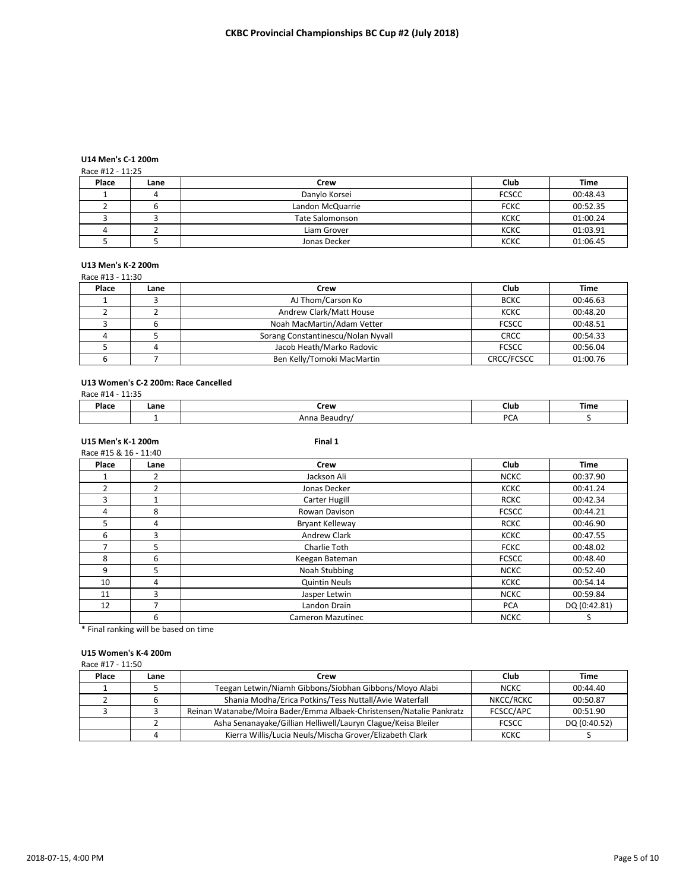# **U14 Men's C-1 200m**

### Race #12 - 11:25

|                        | Club         | Time     |
|------------------------|--------------|----------|
| Danylo Korsei          | <b>FCSCC</b> | 00:48.43 |
| Landon McQuarrie       | <b>FCKC</b>  | 00:52.35 |
| <b>Tate Salomonson</b> | <b>KCKC</b>  | 01:00.24 |
| Liam Grover            | <b>KCKC</b>  | 01:03.91 |
| Jonas Decker           | <b>KCKC</b>  | 01:06.45 |
|                        | Crew         |          |

# **U13 Men's K-2 200m**

|       | Race #13 - 11:30 |                                    |              |          |  |  |
|-------|------------------|------------------------------------|--------------|----------|--|--|
| Place | Lane             | Crew                               | Club         | Time     |  |  |
|       |                  | AJ Thom/Carson Ko                  | <b>BCKC</b>  | 00:46.63 |  |  |
|       |                  | Andrew Clark/Matt House            | <b>KCKC</b>  | 00:48.20 |  |  |
|       |                  | Noah MacMartin/Adam Vetter         | <b>FCSCC</b> | 00:48.51 |  |  |
|       |                  | Sorang Constantinescu/Nolan Nyvall | <b>CRCC</b>  | 00:54.33 |  |  |
|       |                  | Jacob Heath/Marko Radovic          | <b>FCSCC</b> | 00:56.04 |  |  |
|       |                  | Ben Kelly/Tomoki MacMartin         | CRCC/FCSCC   | 01:00.76 |  |  |

## **U13 Women's C-2 200m: Race Cancelled**

Race #14 - 11:35

| <b>Dlass</b><br>∽iace | .ane | Crew | Club    | ïme |
|-----------------------|------|------|---------|-----|
|                       |      |      | DC<br>. |     |

# **U15 Men's K-1 200m Final 1**

| Race #15 & 16 - 11:40 |                |                          |              |              |
|-----------------------|----------------|--------------------------|--------------|--------------|
| Place                 | Lane           | Crew                     | Club         | <b>Time</b>  |
|                       | 2              | Jackson Ali              | <b>NCKC</b>  | 00:37.90     |
| $\overline{2}$        | $\overline{2}$ | Jonas Decker             | <b>KCKC</b>  | 00:41.24     |
| 3                     |                | Carter Hugill            | <b>RCKC</b>  | 00:42.34     |
| 4                     | 8              | Rowan Davison            | <b>FCSCC</b> | 00:44.21     |
| 5                     | 4              | Bryant Kelleway          | <b>RCKC</b>  | 00:46.90     |
| 6                     | 3              | <b>Andrew Clark</b>      | <b>KCKC</b>  | 00:47.55     |
|                       | 5              | Charlie Toth             | <b>FCKC</b>  | 00:48.02     |
| 8                     | 6              | Keegan Bateman           | <b>FCSCC</b> | 00:48.40     |
| 9                     | 5              | Noah Stubbing            | <b>NCKC</b>  | 00:52.40     |
| 10                    | 4              | <b>Quintin Neuls</b>     | <b>KCKC</b>  | 00:54.14     |
| 11                    | 3              | Jasper Letwin            | <b>NCKC</b>  | 00:59.84     |
| 12                    |                | Landon Drain             | <b>PCA</b>   | DQ (0:42.81) |
|                       | 6              | <b>Cameron Mazutinec</b> | <b>NCKC</b>  |              |

\* Final ranking will be based on time

## **U15 Women's K-4 200m**

| Race #17 - 11:50 |      |                                                                      |              |              |  |
|------------------|------|----------------------------------------------------------------------|--------------|--------------|--|
| Place            | Lane | Crew                                                                 | Club         | Time         |  |
|                  |      | Teegan Letwin/Niamh Gibbons/Siobhan Gibbons/Moyo Alabi               | <b>NCKC</b>  | 00:44.40     |  |
|                  | b    | Shania Modha/Erica Potkins/Tess Nuttall/Avie Waterfall               | NKCC/RCKC    | 00:50.87     |  |
|                  |      | Reinan Watanabe/Moira Bader/Emma Albaek-Christensen/Natalie Pankratz | FCSCC/APC    | 00:51.90     |  |
|                  |      | Asha Senanayake/Gillian Helliwell/Lauryn Clague/Keisa Bleiler        | <b>FCSCC</b> | DQ (0:40.52) |  |
|                  | 4    | Kierra Willis/Lucia Neuls/Mischa Grover/Elizabeth Clark              | KCKC         |              |  |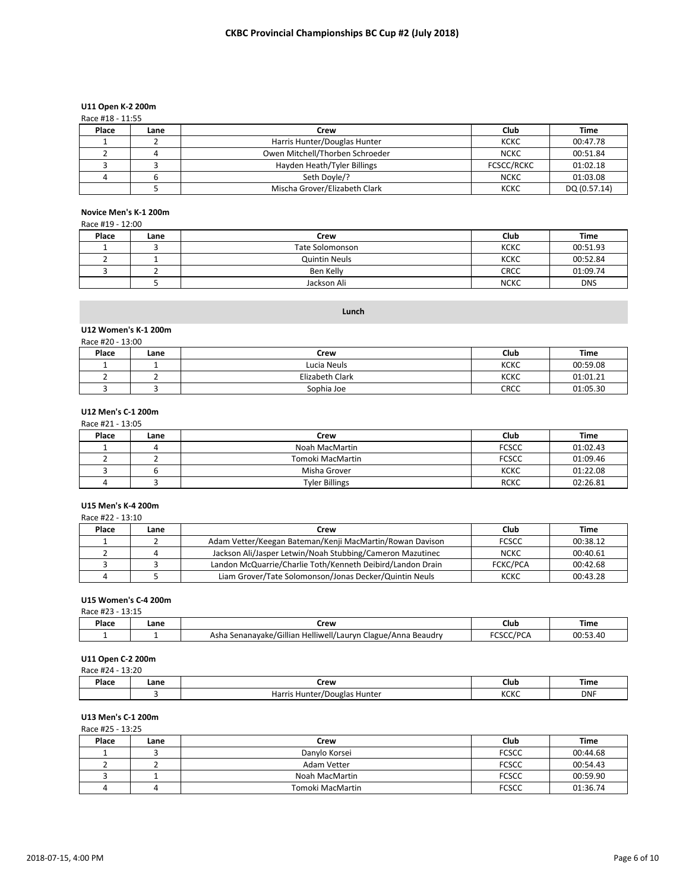# **U11 Open K-2 200m**

| Race #18 - 11:55 |  |
|------------------|--|
|                  |  |

| Place | Lane | Crew                            | Club              | Time         |
|-------|------|---------------------------------|-------------------|--------------|
|       |      | Harris Hunter/Douglas Hunter    | кскс              | 00:47.78     |
|       |      | Owen Mitchell/Thorben Schroeder | <b>NCKC</b>       | 00:51.84     |
|       |      | Hayden Heath/Tyler Billings     | <b>FCSCC/RCKC</b> | 01:02.18     |
|       |      | Seth Doyle/?                    | <b>NCKC</b>       | 01:03.08     |
|       |      | Mischa Grover/Elizabeth Clark   | KCKC              | DQ (0.57.14) |

# **Novice Men's K-1 200m**

## Race #19 - 12:00

| Place | Lane | Crew                 | Club        | <b>Time</b> |
|-------|------|----------------------|-------------|-------------|
|       |      | Tate Solomonson      | <b>KCKC</b> | 00:51.93    |
|       |      | <b>Quintin Neuls</b> | <b>KCKC</b> | 00:52.84    |
|       |      | Ben Kelly            | <b>CRCC</b> | 01:09.74    |
|       |      | Jackson Ali          | <b>NCKC</b> | <b>DNS</b>  |

# **Lunch**

#### **U12 Women's K-1 200m**

| Race #20 - 13:00 |      |                 |             |          |  |
|------------------|------|-----------------|-------------|----------|--|
| Place            | Lane | Crew            | Club        | Time     |  |
|                  |      | Lucia Neuls     | <b>KCKC</b> | 00:59.08 |  |
|                  |      | Elizabeth Clark | <b>KCKC</b> | 01:01.21 |  |
|                  |      | Sophia Joe      | <b>CRCC</b> | 01:05.30 |  |

## **U12 Men's C-1 200m**

| Race #21 - 13:05 |      |                       |              |          |  |
|------------------|------|-----------------------|--------------|----------|--|
| Place            | Lane | Crew                  | Club         | Time     |  |
|                  | ப    | Noah MacMartin        | <b>FCSCC</b> | 01:02.43 |  |
|                  |      | Tomoki MacMartin      | <b>FCSCC</b> | 01:09.46 |  |
|                  |      | Misha Grover          | <b>KCKC</b>  | 01:22.08 |  |
|                  |      | <b>Tyler Billings</b> | <b>RCKC</b>  | 02:26.81 |  |

# **U15 Men's K-4 200m**

#### Race #22 - 13:10

| Place | Lane | Crew                                                       | Club            | Time     |
|-------|------|------------------------------------------------------------|-----------------|----------|
|       |      | Adam Vetter/Keegan Bateman/Kenji MacMartin/Rowan Davison   | <b>FCSCC</b>    | 00:38.12 |
|       |      | Jackson Ali/Jasper Letwin/Noah Stubbing/Cameron Mazutinec  | <b>NCKC</b>     | 00:40.61 |
|       |      | Landon McQuarrie/Charlie Toth/Kenneth Deibird/Landon Drain | <b>FCKC/PCA</b> | 00:42.68 |
|       |      | Liam Grover/Tate Solomonson/Jonas Decker/Quintin Neuls     | KCKC            | 00:43.28 |

# **U15 Women's C-4 200m**

| .<br>Race<br><b>__._</b> |      |                                                              |                  |             |  |  |
|--------------------------|------|--------------------------------------------------------------|------------------|-------------|--|--|
| Place                    | Lane | Crew                                                         | Club             | <b>Time</b> |  |  |
|                          |      | Asha Senanayake/Gillian Helliwell/Lauryn Clague/Anna Beaudry | /DC<br>しコしし<br>◡ | 20.52 M     |  |  |

# **U11 Open C-2 200m**

|       | Race #24 - 13:20 |                              |             |            |  |  |  |
|-------|------------------|------------------------------|-------------|------------|--|--|--|
| Place | Lane             | Crew                         | Club        | Time       |  |  |  |
|       |                  | Harris Hunter/Douglas Hunter | <b>KCKC</b> | <b>DNF</b> |  |  |  |

# **U13 Men's C-1 200m**

Race #25 - 13:25

| Place | Lane | Crew             | Club         | Time     |
|-------|------|------------------|--------------|----------|
|       |      | Danylo Korsei    | <b>FCSCC</b> | 00:44.68 |
|       |      | Adam Vetter      | <b>FCSCC</b> | 00:54.43 |
|       |      | Noah MacMartin   | <b>FCSCC</b> | 00:59.90 |
|       |      | Tomoki MacMartin | <b>FCSCC</b> | 01:36.74 |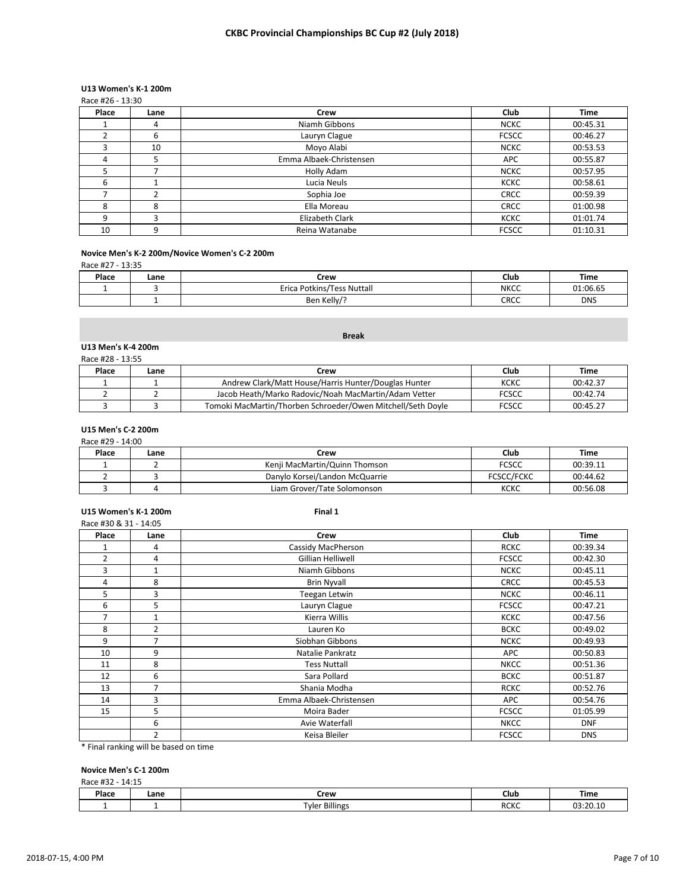# **U13 Women's K-1 200m**

|       | Race #26 - 13:30 |                         |              |             |  |  |  |
|-------|------------------|-------------------------|--------------|-------------|--|--|--|
| Place | Lane             | Crew                    | Club         | <b>Time</b> |  |  |  |
|       | 4                | Niamh Gibbons           | <b>NCKC</b>  | 00:45.31    |  |  |  |
|       | 6                | Lauryn Clague           | <b>FCSCC</b> | 00:46.27    |  |  |  |
| ς     | 10               | Moyo Alabi              | <b>NCKC</b>  | 00:53.53    |  |  |  |
| 4     | 5                | Emma Albaek-Christensen | <b>APC</b>   | 00:55.87    |  |  |  |
|       |                  | Holly Adam              | <b>NCKC</b>  | 00:57.95    |  |  |  |
| 6     |                  | Lucia Neuls             | <b>KCKC</b>  | 00:58.61    |  |  |  |
|       |                  | Sophia Joe              | <b>CRCC</b>  | 00:59.39    |  |  |  |
| 8     | 8                | Ella Moreau             | <b>CRCC</b>  | 01:00.98    |  |  |  |
| q     | 3                | Elizabeth Clark         | <b>KCKC</b>  | 01:01.74    |  |  |  |
| 10    | 9                | Reina Watanabe          | <b>FCSCC</b> | 01:10.31    |  |  |  |

# **Novice Men's K-2 200m/Novice Women's C-2 200m**

Race #27 - 13:35

| Place | Lane | Crew                          | Club        | Time       |
|-------|------|-------------------------------|-------------|------------|
|       |      | Potkins/Tess Nuttall<br>Erica | <b>NKCC</b> | 01:06.65   |
|       |      | Ben Kelly/                    | CRCC        | <b>DNS</b> |

|  | ---<br>$n_{\rm B}$ | אר<br>,,,, |
|--|--------------------|------------|
|  |                    |            |
|  |                    |            |

**Break**

# **U13 Men's K-4 200m**

| Race #28 - 13:55 |      |                                                             |              |          |  |  |
|------------------|------|-------------------------------------------------------------|--------------|----------|--|--|
| Place            | Lane | Crew                                                        | Club         | Time     |  |  |
|                  |      | Andrew Clark/Matt House/Harris Hunter/Douglas Hunter        | кскс         | 00:42.37 |  |  |
|                  |      | Jacob Heath/Marko Radovic/Noah MacMartin/Adam Vetter        | <b>FCSCC</b> | 00:42.74 |  |  |
|                  |      | Tomoki MacMartin/Thorben Schroeder/Owen Mitchell/Seth Doyle | <b>FCSCC</b> | 00:45.27 |  |  |

# **U15 Men's C-2 200m**

|       | Race #29 - 14:00 |                                |                   |          |  |  |  |
|-------|------------------|--------------------------------|-------------------|----------|--|--|--|
| Place | Lane             | Crew                           | Club              | Time     |  |  |  |
|       |                  | Kenii MacMartin/Quinn Thomson  | <b>FCSCC</b>      | 00:39.11 |  |  |  |
|       |                  | Danylo Korsei/Landon McQuarrie | <b>FCSCC/FCKC</b> | 00:44.62 |  |  |  |
|       |                  | Liam Grover/Tate Solomonson    | KCKC              | 00:56.08 |  |  |  |

## **U15 Women's K-1 200m Final 1**

|                | Race #30 & 31 - 14:05 |                         |              |             |  |  |
|----------------|-----------------------|-------------------------|--------------|-------------|--|--|
| Place          | Lane                  | <b>Crew</b>             | Club         | <b>Time</b> |  |  |
| 1              | 4                     | Cassidy MacPherson      | <b>RCKC</b>  | 00:39.34    |  |  |
| $\overline{2}$ | 4                     | Gillian Helliwell       | <b>FCSCC</b> | 00:42.30    |  |  |
| 3              | $\mathbf{1}$          | Niamh Gibbons           | <b>NCKC</b>  | 00:45.11    |  |  |
| 4              | 8                     | <b>Brin Nyvall</b>      | <b>CRCC</b>  | 00:45.53    |  |  |
| 5              | 3                     | Teegan Letwin           | <b>NCKC</b>  | 00:46.11    |  |  |
| 6              | 5                     | Lauryn Clague           | <b>FCSCC</b> | 00:47.21    |  |  |
| 7              | 1                     | Kierra Willis           | <b>KCKC</b>  | 00:47.56    |  |  |
| 8              | 2                     | Lauren Ko               | <b>BCKC</b>  | 00:49.02    |  |  |
| 9              | 7                     | Siobhan Gibbons         | <b>NCKC</b>  | 00:49.93    |  |  |
| 10             | 9                     | Natalie Pankratz        | <b>APC</b>   | 00:50.83    |  |  |
| 11             | 8                     | <b>Tess Nuttall</b>     | <b>NKCC</b>  | 00:51.36    |  |  |
| 12             | 6                     | Sara Pollard            | <b>BCKC</b>  | 00:51.87    |  |  |
| 13             | 7                     | Shania Modha            | <b>RCKC</b>  | 00:52.76    |  |  |
| 14             | 3                     | Emma Albaek-Christensen | APC          | 00:54.76    |  |  |
| 15             | 5                     | Moira Bader             | <b>FCSCC</b> | 01:05.99    |  |  |
|                | 6                     | Avie Waterfall          | <b>NKCC</b>  | <b>DNF</b>  |  |  |
|                | 2                     | Keisa Bleiler           | <b>FCSCC</b> | <b>DNS</b>  |  |  |

\* Final ranking will be based on time

# **Novice Men's C-1 200m**

Race #32 - 14:15

| Place | Lane | Crew<br>__                      | Club                | Time              |  |  |
|-------|------|---------------------------------|---------------------|-------------------|--|--|
|       |      | $\sim$<br><b>Tyler Billings</b> | <b>RCKC</b><br>____ | 03.20.11<br>_____ |  |  |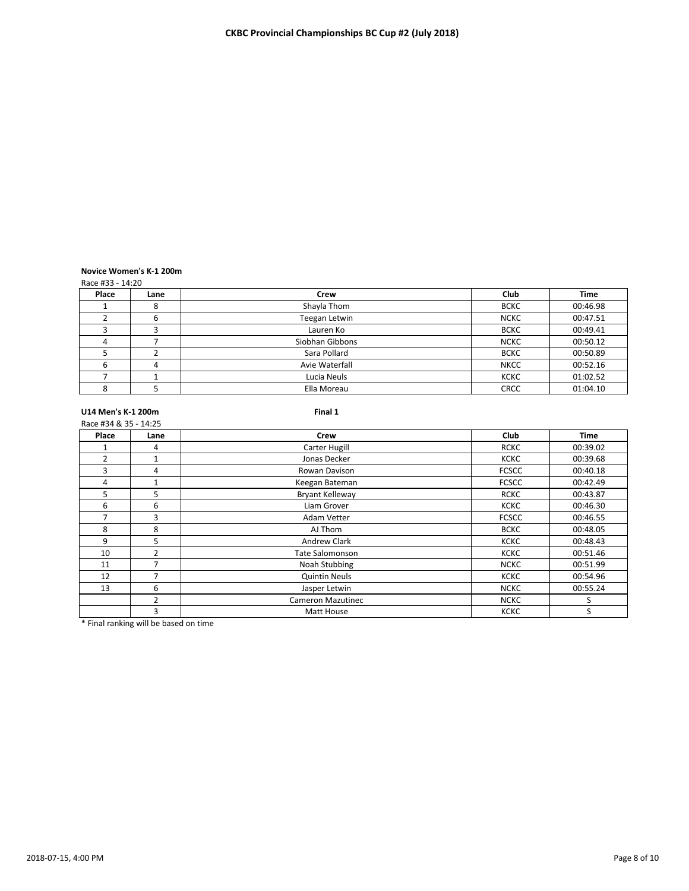# **Novice Women's K-1 200m**

Race #33 - 14:20

| Place | Lane | Crew            | Club        | <b>Time</b> |
|-------|------|-----------------|-------------|-------------|
|       | ŏ    | Shayla Thom     | <b>BCKC</b> | 00:46.98    |
|       | b    | Teegan Letwin   | <b>NCKC</b> | 00:47.51    |
|       |      | Lauren Ko       | <b>BCKC</b> | 00:49.41    |
|       |      | Siobhan Gibbons | <b>NCKC</b> | 00:50.12    |
|       |      | Sara Pollard    | <b>BCKC</b> | 00:50.89    |
|       | 4    | Avie Waterfall  | <b>NKCC</b> | 00:52.16    |
|       |      | Lucia Neuls     | <b>KCKC</b> | 01:02.52    |
|       |      | Ella Moreau     | <b>CRCC</b> | 01:04.10    |

**U14 Men's K-1 200m Final 1** Race #34 & 35 - 14:25

| Place          | Lane           | <b>Crew</b>            | Club         | <b>Time</b> |
|----------------|----------------|------------------------|--------------|-------------|
|                | 4              | Carter Hugill          | <b>RCKC</b>  | 00:39.02    |
| $\overline{2}$ | $\mathbf{1}$   | Jonas Decker           | <b>KCKC</b>  | 00:39.68    |
| 3              | 4              | Rowan Davison          | <b>FCSCC</b> | 00:40.18    |
| 4              |                | Keegan Bateman         | <b>FCSCC</b> | 00:42.49    |
| 5              | 5              | Bryant Kelleway        | <b>RCKC</b>  | 00:43.87    |
| 6              | 6              | Liam Grover            | <b>KCKC</b>  | 00:46.30    |
|                | 3              | Adam Vetter            | <b>FCSCC</b> | 00:46.55    |
| 8              | 8              | AJ Thom                | <b>BCKC</b>  | 00:48.05    |
| 9              | 5              | Andrew Clark           | <b>KCKC</b>  | 00:48.43    |
| 10             | $\overline{2}$ | <b>Tate Salomonson</b> | <b>KCKC</b>  | 00:51.46    |
| 11             | 7              | Noah Stubbing          | <b>NCKC</b>  | 00:51.99    |
| 12             | ⇁              | <b>Quintin Neuls</b>   | <b>KCKC</b>  | 00:54.96    |
| 13             | 6              | Jasper Letwin          | <b>NCKC</b>  | 00:55.24    |
|                | 2              | Cameron Mazutinec      | <b>NCKC</b>  | S.          |
|                | 3              | Matt House             | <b>KCKC</b>  | S           |

\* Final ranking will be based on time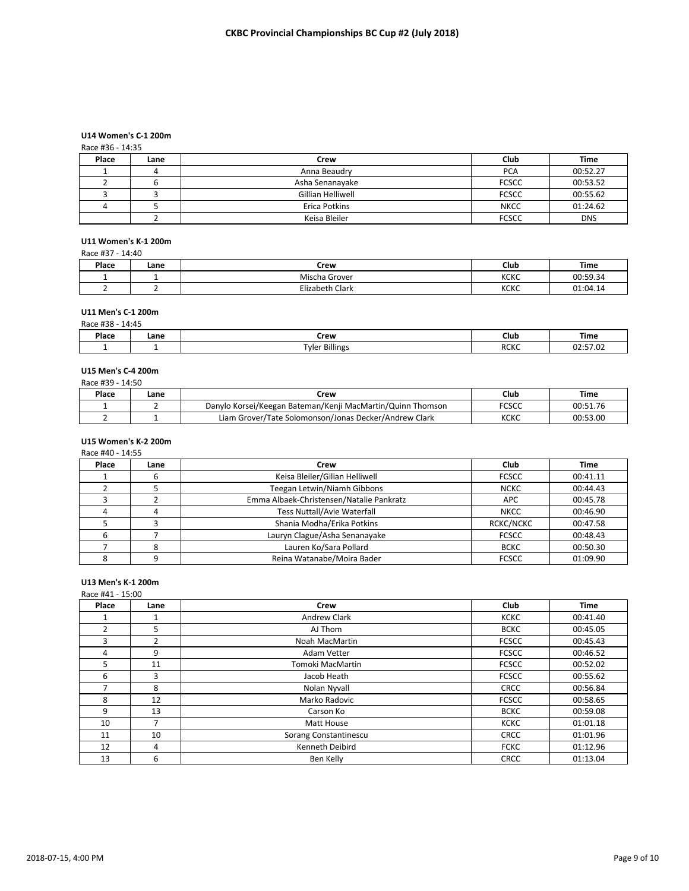# **U14 Women's C-1 200m**

## Race #36 - 14:35

| Place | Lane | Crew              | Club         | Time       |
|-------|------|-------------------|--------------|------------|
|       |      | Anna Beaudry      | <b>PCA</b>   | 00:52.27   |
|       |      | Asha Senanayake   | <b>FCSCC</b> | 00:53.52   |
|       |      | Gillian Helliwell | <b>FCSCC</b> | 00:55.62   |
|       |      | Erica Potkins     | <b>NKCC</b>  | 01:24.62   |
|       |      | Keisa Bleiler     | <b>FCSCC</b> | <b>DNS</b> |

# **U11 Women's K-1 200m**

| Race #37 - 14:40 |      |                 |             |          |  |  |
|------------------|------|-----------------|-------------|----------|--|--|
| Place            | Lane | Crew            | <b>Club</b> | Time     |  |  |
|                  |      | Mischa Grover   | <b>KCKC</b> | 00:59.34 |  |  |
|                  |      | Elizabeth Clark | <b>KCKC</b> | 01:04.14 |  |  |

#### **U11 Men's C-1 200m**

| #38<br>14:45<br>Race # |      |                |             |          |  |  |
|------------------------|------|----------------|-------------|----------|--|--|
| Place                  | Lane | Crew           | Club        | Time     |  |  |
|                        |      | Tyler Billings | <b>RCKC</b> | רח דם נח |  |  |

# **U15 Men's C-4 200m**

| Race #39 - 14:50 |      |                                                            |       |          |  |  |  |
|------------------|------|------------------------------------------------------------|-------|----------|--|--|--|
| Place            | Lane | Crew                                                       | Club  | Time     |  |  |  |
|                  |      | Danylo Korsei/Keegan Bateman/Kenji MacMartin/Quinn Thomson | FCSCC | 00:51.76 |  |  |  |
|                  |      | Liam Grover/Tate Solomonson/Jonas Decker/Andrew Clark      | кскс  | 00:53.00 |  |  |  |

## **U15 Women's K-2 200m**

Race #40 - 14:55

| Place | Lane | Crew                                     | Club             | Time     |
|-------|------|------------------------------------------|------------------|----------|
|       | O    | Keisa Bleiler/Gilian Helliwell           | <b>FCSCC</b>     | 00:41.11 |
|       |      | Teegan Letwin/Niamh Gibbons              | <b>NCKC</b>      | 00:44.43 |
|       |      | Emma Albaek-Christensen/Natalie Pankratz | <b>APC</b>       | 00:45.78 |
|       |      | <b>Tess Nuttall/Avie Waterfall</b>       | <b>NKCC</b>      | 00:46.90 |
|       |      | Shania Modha/Erika Potkins               | <b>RCKC/NCKC</b> | 00:47.58 |
|       |      | Lauryn Clague/Asha Senanayake            | <b>FCSCC</b>     | 00:48.43 |
|       |      | Lauren Ko/Sara Pollard                   | <b>BCKC</b>      | 00:50.30 |
|       |      | Reina Watanabe/Moira Bader               | <b>FCSCC</b>     | 01:09.90 |

# **U13 Men's K-1 200m** Race #41 - 15:00

| Place          | Lane                     | Crew                  | Club         | <b>Time</b> |
|----------------|--------------------------|-----------------------|--------------|-------------|
|                |                          | <b>Andrew Clark</b>   | <b>KCKC</b>  | 00:41.40    |
| $\overline{2}$ | 5                        | AJ Thom               | <b>BCKC</b>  | 00:45.05    |
| 3              | $\overline{2}$           | Noah MacMartin        | <b>FCSCC</b> | 00:45.43    |
| 4              | 9                        | Adam Vetter           | <b>FCSCC</b> | 00:46.52    |
| 5              | 11                       | Tomoki MacMartin      | <b>FCSCC</b> | 00:52.02    |
| 6              | 3                        | Jacob Heath           | <b>FCSCC</b> | 00:55.62    |
|                | 8                        | Nolan Nyvall          | <b>CRCC</b>  | 00:56.84    |
| 8              | 12                       | Marko Radovic         | <b>FCSCC</b> | 00:58.65    |
| 9              | 13                       | Carson Ko             | <b>BCKC</b>  | 00:59.08    |
| 10             | $\overline{\phantom{a}}$ | Matt House            | <b>KCKC</b>  | 01:01.18    |
| 11             | 10                       | Sorang Constantinescu | <b>CRCC</b>  | 01:01.96    |
| 12             | 4                        | Kenneth Deibird       | <b>FCKC</b>  | 01:12.96    |
| 13             | 6                        | Ben Kelly             | <b>CRCC</b>  | 01:13.04    |